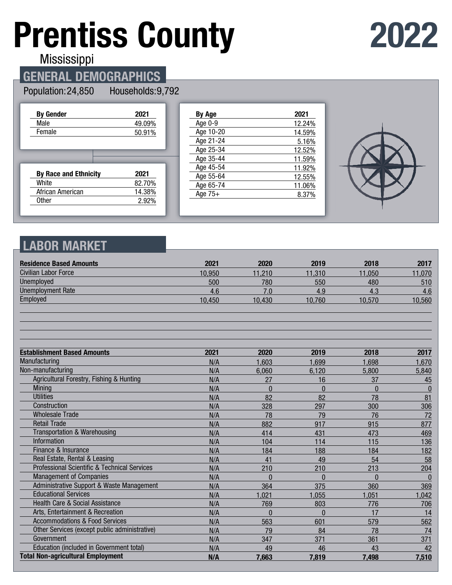# **Prentiss County**

## **2022**

Mississippi

## **GENERAL DEMOGRAPHICS**

#### Population: 24,850 Households: 9,792

| <b>By Gender</b>             | 2021   |
|------------------------------|--------|
| Male                         | 49.09% |
| Female                       | 50.91% |
|                              |        |
|                              |        |
|                              |        |
| <b>By Race and Ethnicity</b> | 2021   |
| White                        | 82.70% |
| African American             | 14.38% |
| 0ther                        | 2.92%  |
|                              |        |

| By Age    | 2021   |
|-----------|--------|
| Age 0-9   | 12.24% |
| Age 10-20 | 14.59% |
| Age 21-24 | 5.16%  |
| Age 25-34 | 12.52% |
| Age 35-44 | 11.59% |
| Age 45-54 | 11.92% |
| Age 55-64 | 12.55% |
| Age 65-74 | 11.06% |
| Age $75+$ | 8.37%  |
|           |        |



## **LABOR MARKET**

| <b>Residence Based Amounts</b>                          | 2021   | 2020         | 2019     | 2018         | 2017     |
|---------------------------------------------------------|--------|--------------|----------|--------------|----------|
| <b>Civilian Labor Force</b>                             | 10,950 | 11,210       | 11,310   | 11.050       | 11,070   |
| Unemployed                                              | 500    | 780          | 550      | 480          | 510      |
| <b>Unemployment Rate</b>                                | 4.6    | 7.0          | 4.9      | 4.3          | 4.6      |
| Employed                                                | 10,450 | 10,430       | 10,760   | 10,570       | 10,560   |
|                                                         |        |              |          |              |          |
| <b>Establishment Based Amounts</b>                      | 2021   | 2020         | 2019     | 2018         | 2017     |
| Manufacturing                                           | N/A    | 1,603        | 1,699    | 1,698        | 1,670    |
| Non-manufacturing                                       | N/A    | 6,060        | 6,120    | 5,800        | 5,840    |
| Agricultural Forestry, Fishing & Hunting                | N/A    | 27           | 16       | 37           | 45       |
| <b>Mining</b>                                           | N/A    | $\mathbf{0}$ | $\Omega$ | $\mathbf{0}$ | $\bf{0}$ |
| <b>Utilities</b>                                        | N/A    | 82           | 82       | 78           | 81       |
| Construction                                            | N/A    | 328          | 297      | 300          | 306      |
| <b>Wholesale Trade</b>                                  | N/A    | 78           | 79       | 76           | 72       |
| <b>Retail Trade</b>                                     | N/A    | 882          | 917      | 915          | 877      |
| Transportation & Warehousing                            | N/A    | 414          | 431      | 473          | 469      |
| Information                                             | N/A    | 104          | 114      | 115          | 136      |
| Finance & Insurance                                     | N/A    | 184          | 188      | 184          | 182      |
| Real Estate, Rental & Leasing                           | N/A    | 41           | 49       | 54           | 58       |
| <b>Professional Scientific &amp; Technical Services</b> | N/A    | 210          | 210      | 213          | 204      |
| <b>Management of Companies</b>                          | N/A    | 0            | $\Omega$ | U            | $\Omega$ |
| Administrative Support & Waste Management               | N/A    | 364          | 375      | 360          | 369      |
| <b>Educational Services</b>                             | N/A    | 1,021        | 1,055    | 1,051        | 1,042    |
| Health Care & Social Assistance                         | N/A    | 769          | 803      | 776          | 706      |
| Arts, Entertainment & Recreation                        | N/A    | 0            | $\Omega$ | 17           | 14       |
| <b>Accommodations &amp; Food Services</b>               | N/A    | 563          | 601      | 579          | 562      |
| Other Services (except public administrative)           | N/A    | 79           | 84       | 78           | 74       |
| Government                                              | N/A    | 347          | 371      | 361          | 371      |
| Education (included in Government total)                | N/A    | 49           | 46       | 43           | 42       |
| <b>Total Non-agricultural Employment</b>                | N/A    | 7,663        | 7,819    | 7,498        | 7,510    |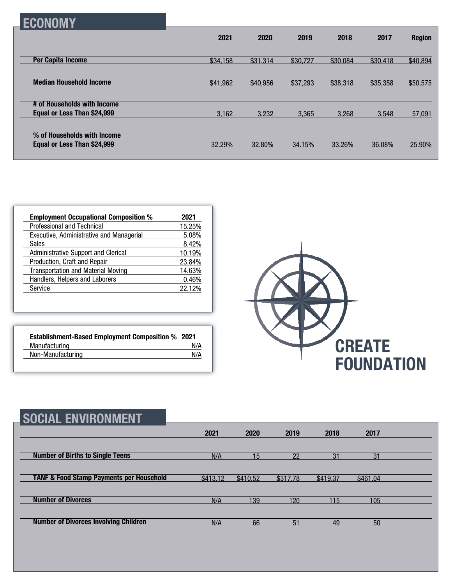| н |
|---|
|---|

|                                | 2021     | 2020     | 2019     | 2018     | 2017     | <b>Region</b> |
|--------------------------------|----------|----------|----------|----------|----------|---------------|
|                                |          |          |          |          |          |               |
| <b>Per Capita Income</b>       | \$34,158 | \$31,314 | \$30,727 | \$30,084 | \$30,418 | \$40,894      |
|                                |          |          |          |          |          |               |
| <b>Median Household Income</b> | \$41,962 | \$40,956 | \$37,293 | \$38,318 | \$35,358 | \$50,575      |
|                                |          |          |          |          |          |               |
| # of Households with Income    |          |          |          |          |          |               |
| Equal or Less Than \$24,999    | 3,162    | 3,232    | 3,365    | 3.268    | 3.548    | 57,091        |
|                                |          |          |          |          |          |               |
| % of Households with Income    |          |          |          |          |          |               |
| Equal or Less Than \$24,999    | 32.29%   | 32.80%   | 34.15%   | 33.26%   | 36.08%   | 25.90%        |
|                                |          |          |          |          |          |               |

| <b>Employment Occupational Composition %</b> | 2021   |
|----------------------------------------------|--------|
| Professional and Technical                   | 15.25% |
| Executive, Administrative and Managerial     | 5.08%  |
| <b>Sales</b>                                 | 8.42%  |
| Administrative Support and Clerical          | 10.19% |
| Production, Craft and Repair                 | 23.84% |
| <b>Transportation and Material Moving</b>    | 14.63% |
| Handlers, Helpers and Laborers               | 0.46%  |
| Service                                      | 22.12% |

| <b>Establishment-Based Employment Composition % 2021</b> |     |
|----------------------------------------------------------|-----|
| Manufacturing                                            | N/A |
| Non-Manufacturing                                        | N/A |



| <b>SOCIAL ENVIRONMENT</b>                           |          |                 |          |          |          |  |
|-----------------------------------------------------|----------|-----------------|----------|----------|----------|--|
|                                                     | 2021     | 2020            | 2019     | 2018     | 2017     |  |
| <b>Number of Births to Single Teens</b>             | N/A      | 15 <sup>1</sup> | 22       | 31       | 31       |  |
| <b>TANF &amp; Food Stamp Payments per Household</b> | \$413.12 | \$410.52        | \$317.78 | \$419.37 | \$461.04 |  |
| <b>Number of Divorces</b>                           | N/A      | 139             | 120      | 115      | 105      |  |
| <b>Number of Divorces Involving Children</b>        | N/A      | 66              | 51       | 49       | 50       |  |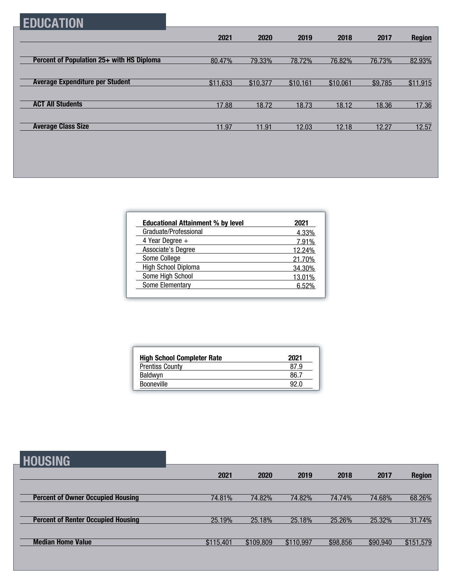## **EDUCATION**

|                                           | 2021     | 2020     | 2019     | 2018     | 2017    | <b>Region</b> |
|-------------------------------------------|----------|----------|----------|----------|---------|---------------|
|                                           |          |          |          |          |         |               |
| Percent of Population 25+ with HS Diploma | 80.47%   | 79.33%   | 78.72%   | 76.82%   | 76.73%  | 82.93%        |
|                                           |          |          |          |          |         |               |
| <b>Average Expenditure per Student</b>    | \$11,633 | \$10,377 | \$10,161 | \$10,061 | \$9,785 | \$11,915      |
|                                           |          |          |          |          |         |               |
| <b>ACT All Students</b>                   | 17.88    | 18.72    | 18.73    | 18.12    | 18.36   | 17.36         |
|                                           |          |          |          |          |         |               |
| <b>Average Class Size</b>                 | 11.97    | 11.91    | 12.03    | 12.18    | 12.27   | 12.57         |

| <b>Educational Attainment % by level</b> | 2021   |
|------------------------------------------|--------|
| Graduate/Professional                    | 4.33%  |
| 4 Year Degree $+$                        | 7.91%  |
| Associate's Degree                       | 12.24% |
| Some College                             | 21.70% |
| <b>High School Diploma</b>               | 34.30% |
| Some High School                         | 13.01% |
| Some Elementary                          | 6.52%  |

| <b>High School Completer Rate</b> | 2021 |
|-----------------------------------|------|
| <b>Prentiss County</b>            | 87.9 |
| <b>Baldwyn</b>                    | 86.7 |
| <b>Booneville</b>                 | 92 N |

**HOUSING**

|                                           | 2021      | 2020      | 2019      | 2018     | 2017     | <b>Region</b> |
|-------------------------------------------|-----------|-----------|-----------|----------|----------|---------------|
|                                           |           |           |           |          |          |               |
| <b>Percent of Owner Occupied Housing</b>  | 74.81%    | 74.82%    | 74.82%    | 74.74%   | 74.68%   | 68.26%        |
|                                           |           |           |           |          |          |               |
| <b>Percent of Renter Occupied Housing</b> | 25.19%    | 25.18%    | 25.18%    | 25.26%   | 25.32%   | 31.74%        |
|                                           |           |           |           |          |          |               |
| <b>Median Home Value</b>                  | \$115,401 | \$109,809 | \$110,997 | \$98,856 | \$90,940 | \$151,579     |
|                                           |           |           |           |          |          |               |